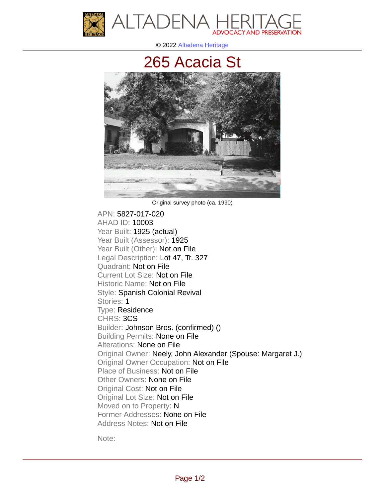

© 2022 [Altadena Heritage](http://altadenaheritage.org/)

## [265 Acacia St](ahad.altadenaheritagepdb.org/properties/10003)



Original survey photo (ca. 1990)

APN: 5827-017-020 [AHAD ID: 10003](ahad.altadenaheritagepdb.org/properties/10003) Year Built: 1925 (actual) Year Built (Assessor): 1925 Year Built (Other): Not on File Legal Description: Lot 47, Tr. 327 Quadrant: Not on File Current Lot Size: Not on File Historic Name: Not on File Style: Spanish Colonial Revival Stories: 1 Type: Residence CHRS: 3CS Builder: Johnson Bros. (confirmed) () Building Permits: None on File Alterations: None on File Original Owner: Neely, John Alexander (Spouse: Margaret J.) Original Owner Occupation: Not on File Place of Business: Not on File Other Owners: None on File Original Cost: Not on File Original Lot Size: Not on File Moved on to Property: N Former Addresses: None on File Address Notes: Not on File

Note: